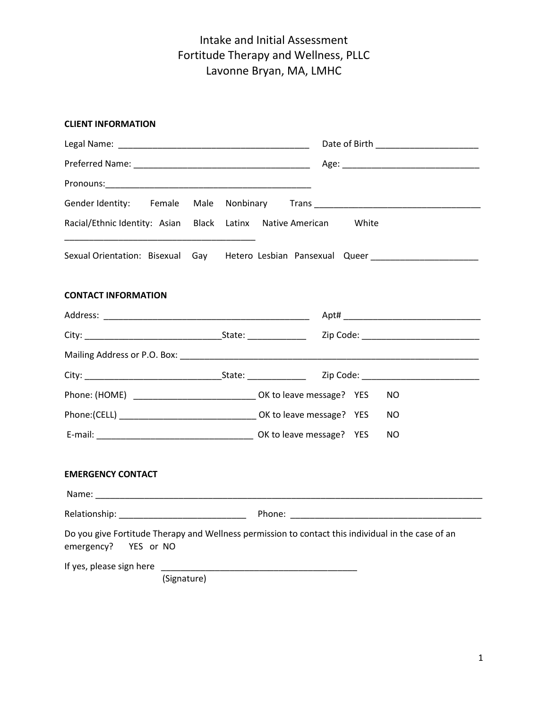#### **CLIENT INFORMATION**

| Gender Identity: Female                                              |                                                                                                    |
|----------------------------------------------------------------------|----------------------------------------------------------------------------------------------------|
| Racial/Ethnic Identity: Asian Black Latinx Native American           | White                                                                                              |
|                                                                      | Sexual Orientation: Bisexual Gay Hetero Lesbian Pansexual Queer ________________                   |
| <b>CONTACT INFORMATION</b>                                           |                                                                                                    |
|                                                                      |                                                                                                    |
|                                                                      |                                                                                                    |
|                                                                      |                                                                                                    |
|                                                                      |                                                                                                    |
| Phone: (HOME) _____________________________ OK to leave message? YES | NO.                                                                                                |
|                                                                      | NO.                                                                                                |
|                                                                      | NO.                                                                                                |
| <b>EMERGENCY CONTACT</b>                                             |                                                                                                    |
|                                                                      |                                                                                                    |
|                                                                      |                                                                                                    |
| emergency? YES or NO                                                 | Do you give Fortitude Therapy and Wellness permission to contact this individual in the case of an |
| If yes, please sign here                                             |                                                                                                    |
| (Signature)                                                          |                                                                                                    |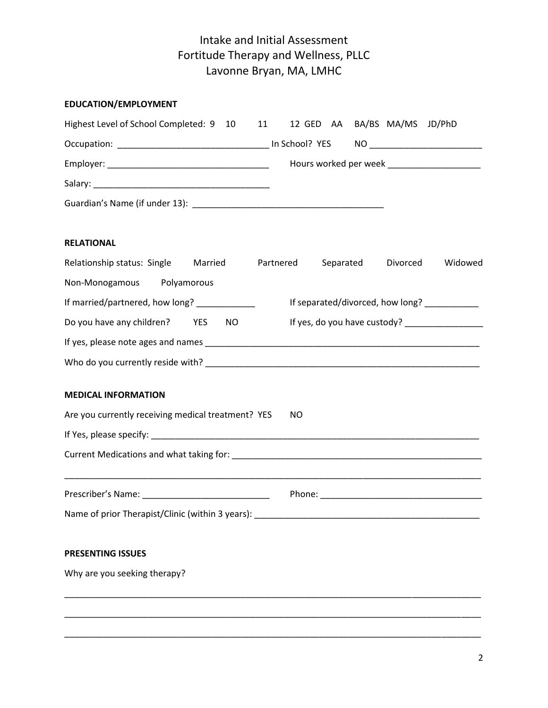| EDUCATION/EMPLOYMENT                                                                                                                                                                                                           |                              |           |          |                                             |
|--------------------------------------------------------------------------------------------------------------------------------------------------------------------------------------------------------------------------------|------------------------------|-----------|----------|---------------------------------------------|
| Highest Level of School Completed: 9 10 11                                                                                                                                                                                     | 12 GED AA BA/BS MA/MS JD/PhD |           |          |                                             |
|                                                                                                                                                                                                                                |                              |           |          |                                             |
|                                                                                                                                                                                                                                |                              |           |          | Hours worked per week _____________________ |
|                                                                                                                                                                                                                                |                              |           |          |                                             |
|                                                                                                                                                                                                                                |                              |           |          |                                             |
| <b>RELATIONAL</b>                                                                                                                                                                                                              |                              |           |          |                                             |
| Relationship status: Single Married                                                                                                                                                                                            | Partnered                    | Separated | Divorced | Widowed                                     |
| Non-Monogamous Polyamorous                                                                                                                                                                                                     |                              |           |          |                                             |
| If married/partnered, how long? _____________                                                                                                                                                                                  |                              |           |          | If separated/divorced, how long? __________ |
| Do you have any children? YES<br>NO.                                                                                                                                                                                           |                              |           |          |                                             |
| If yes, please note ages and names experience and the set of the set of the set of the set of the set of the set of the set of the set of the set of the set of the set of the set of the set of the set of the set of the set |                              |           |          |                                             |
|                                                                                                                                                                                                                                |                              |           |          |                                             |
| <b>MEDICAL INFORMATION</b>                                                                                                                                                                                                     |                              |           |          |                                             |
| Are you currently receiving medical treatment? YES                                                                                                                                                                             | NO.                          |           |          |                                             |
|                                                                                                                                                                                                                                |                              |           |          |                                             |
|                                                                                                                                                                                                                                |                              |           |          |                                             |
| Prescriber's Name: __________________________________                                                                                                                                                                          | Phone: _____________         |           |          |                                             |
| Name of prior Therapist/Clinic (within 3 years): ________________________________                                                                                                                                              |                              |           |          |                                             |
| PRESENTING ISSUES                                                                                                                                                                                                              |                              |           |          |                                             |
| Why are you seeking therapy?                                                                                                                                                                                                   |                              |           |          |                                             |
|                                                                                                                                                                                                                                |                              |           |          |                                             |

\_\_\_\_\_\_\_\_\_\_\_\_\_\_\_\_\_\_\_\_\_\_\_\_\_\_\_\_\_\_\_\_\_\_\_\_\_\_\_\_\_\_\_\_\_\_\_\_\_\_\_\_\_\_\_\_\_\_\_\_\_\_\_\_\_\_\_\_\_\_\_\_\_\_\_\_\_\_\_\_\_\_\_\_\_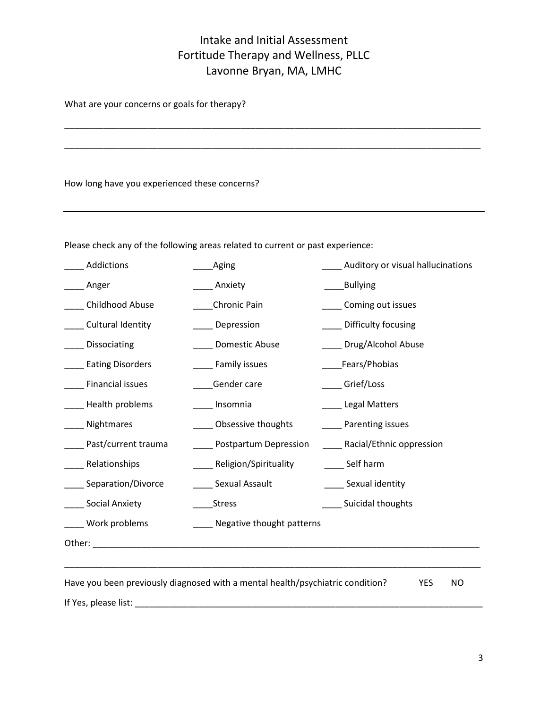\_\_\_\_\_\_\_\_\_\_\_\_\_\_\_\_\_\_\_\_\_\_\_\_\_\_\_\_\_\_\_\_\_\_\_\_\_\_\_\_\_\_\_\_\_\_\_\_\_\_\_\_\_\_\_\_\_\_\_\_\_\_\_\_\_\_\_\_\_\_\_\_\_\_\_\_\_\_\_\_\_\_\_\_\_

What are your concerns or goals for therapy?

How long have you experienced these concerns?

Please check any of the following areas related to current or past experience:

| Addictions                                                                                                                                                                                                                     | Aging                                                                          | Auditory or visual hallucinations |
|--------------------------------------------------------------------------------------------------------------------------------------------------------------------------------------------------------------------------------|--------------------------------------------------------------------------------|-----------------------------------|
| Anger                                                                                                                                                                                                                          | Anxiety                                                                        | <b>Bullying</b>                   |
| Childhood Abuse                                                                                                                                                                                                                | Chronic Pain                                                                   | Coming out issues                 |
| Cultural Identity                                                                                                                                                                                                              | Depression                                                                     | Difficulty focusing               |
| Dissociating                                                                                                                                                                                                                   | Domestic Abuse                                                                 | Drug/Alcohol Abuse                |
| <b>Eating Disorders</b>                                                                                                                                                                                                        | Family issues                                                                  | Fears/Phobias                     |
| Financial issues                                                                                                                                                                                                               | Gender care                                                                    | __ Grief/Loss                     |
| Health problems                                                                                                                                                                                                                | Insomnia                                                                       | <b>Legal Matters</b>              |
| Nightmares                                                                                                                                                                                                                     | Obsessive thoughts                                                             | _ Parenting issues                |
| Past/current trauma                                                                                                                                                                                                            | Postpartum Depression                                                          | Racial/Ethnic oppression          |
| Relationships                                                                                                                                                                                                                  | Religion/Spirituality                                                          | ____ Self harm                    |
| Separation/Divorce                                                                                                                                                                                                             | Sexual Assault                                                                 | ___ Sexual identity               |
| Social Anxiety                                                                                                                                                                                                                 | <b>Stress</b>                                                                  | Suicidal thoughts                 |
| Work problems                                                                                                                                                                                                                  | Negative thought patterns                                                      |                                   |
| Other: when the contract of the contract of the contract of the contract of the contract of the contract of the contract of the contract of the contract of the contract of the contract of the contract of the contract of th |                                                                                |                                   |
|                                                                                                                                                                                                                                |                                                                                |                                   |
|                                                                                                                                                                                                                                | Have you been previously diagnosed with a mental health/psychiatric condition? | <b>YES</b><br><b>NO</b>           |

If Yes, please list: \_\_\_\_\_\_\_\_\_\_\_\_\_\_\_\_\_\_\_\_\_\_\_\_\_\_\_\_\_\_\_\_\_\_\_\_\_\_\_\_\_\_\_\_\_\_\_\_\_\_\_\_\_\_\_\_\_\_\_\_\_\_\_\_\_\_\_\_\_\_\_